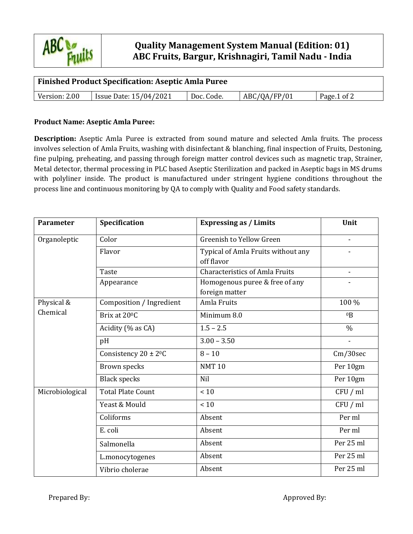

## **Quality Management System Manual (Edition: 01) ABC Fruits, Bargur, Krishnagiri, Tamil Nadu - India**

| <b>Finished Product Specification: Aseptic Amla Puree</b> |                               |            |              |             |  |  |  |  |
|-----------------------------------------------------------|-------------------------------|------------|--------------|-------------|--|--|--|--|
| Version: 2.00                                             | <b>Issue Date: 15/04/2021</b> | Doc. Code. | ABC/QA/FP/01 | Page.1 of 2 |  |  |  |  |

## **Product Name: Aseptic Amla Puree:**

**Description:** Aseptic Amla Puree is extracted from sound mature and selected Amla fruits. The process involves selection of Amla Fruits, washing with disinfectant & blanching, final inspection of Fruits, Destoning, fine pulping, preheating, and passing through foreign matter control devices such as magnetic trap, Strainer, Metal detector, thermal processing in PLC based Aseptic Sterilization and packed in Aseptic bags in MS drums with polyliner inside. The product is manufactured under stringent hygiene conditions throughout the process line and continuous monitoring by QA to comply with Quality and Food safety standards.

| Parameter       | Specification             | <b>Expressing as / Limits</b>                    | Unit                         |  |
|-----------------|---------------------------|--------------------------------------------------|------------------------------|--|
| Organoleptic    | Color                     | Greenish to Yellow Green                         | $\qquad \qquad \blacksquare$ |  |
|                 | Flavor                    | Typical of Amla Fruits without any<br>off flavor |                              |  |
|                 | <b>Taste</b>              | <b>Characteristics of Amla Fruits</b>            |                              |  |
|                 | Appearance                | Homogenous puree & free of any<br>foreign matter |                              |  |
| Physical &      | Composition / Ingredient  | Amla Fruits                                      | 100 %                        |  |
| Chemical        | Brix at 20 <sup>o</sup> C | Minimum 8.0                                      | 0 <sub>B</sub>               |  |
|                 | Acidity (% as CA)         | $1.5 - 2.5$                                      | $\frac{0}{0}$                |  |
|                 | pH                        | $3.00 - 3.50$                                    | $\overline{a}$               |  |
|                 | Consistency $20 \pm 2^0C$ | $8 - 10$                                         | Cm/30sec                     |  |
|                 | Brown specks              | <b>NMT10</b>                                     | Per 10gm                     |  |
|                 | <b>Black specks</b>       | <b>Nil</b>                                       | Per 10gm                     |  |
| Microbiological | <b>Total Plate Count</b>  | < 10                                             | CFU / ml                     |  |
|                 | Yeast & Mould             | < 10                                             | CFU / ml                     |  |
|                 | Coliforms                 | Absent                                           | Per ml                       |  |
|                 | E. coli                   | Absent                                           | Per ml                       |  |
|                 | Salmonella                | Absent                                           | Per 25 ml                    |  |
|                 | L.monocytogenes           | Absent                                           | Per 25 ml                    |  |
|                 | Vibrio cholerae           | Absent                                           | Per 25 ml                    |  |